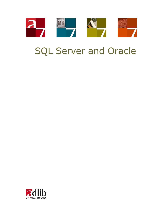

# SQL Server and Oracle

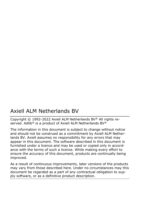# Axiell ALM Netherlands BV

Copyright © 1992-2022 Axiell ALM Netherlands BV® All rights reserved. Adlib<sup>®</sup> is a product of Axiell ALM Netherlands BV<sup>®</sup>

The information in this document is subject to change without notice and should not be construed as a commitment by Axiell ALM Netherlands BV. Axiell assumes no responsibility for any errors that may appear in this document. The software described in this document is furnished under a licence and may be used or copied only in accordance with the terms of such a licence. While making every effort to ensure the accuracy of this document, products are continually being improved.

As a result of continuous improvements, later versions of the products may vary from those described here. Under no circumstances may this document be regarded as a part of any contractual obligation to supply software, or as a definitive product description.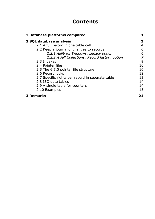# **Contents**

| 1 Database platforms compared                    |    |
|--------------------------------------------------|----|
| 2 SQL database analysis                          | з  |
| 2.1 A full record in one table cell              | 4  |
| 2.2 Keep a journal of changes to records         | 6  |
| 2.2.1 Adlib for Windows: Legacy option           | 6  |
| 2.2.2 Axiell Collections: Record history option  | 7  |
| 2.3 Indexes                                      | 9  |
| 2.4 Pointer files                                | 10 |
| 2.5 The 6.5.0 pointer file structure             | 10 |
| 2.6 Record locks                                 | 12 |
| 2.7 Specific rights per record in separate table | 13 |
| 2.8 ISO date tables                              | 14 |
| 2.9 A single table for counters                  | 14 |
| 2.10 Examples                                    | 15 |
| <b>3 Remarks</b>                                 | 21 |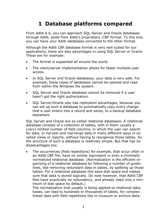# <span id="page-4-0"></span>**1 Database platforms compared**

From Adlib 6.0, you can approach SQL Server and Oracle databases through Adlib, aside from Adlib's proprietary .CBF format. To this end, you can have your Adlib databases converted to the other format.

Although the Adlib CBF database format is very well suited for our applications, there are also advantages in using SQL Server or Oracle. These are for example:

- The format is supported all around the world.
- The client/server implementation allows for faster multiple-user access.
- In SQL Server and Oracle-databases, your data is very safe. For example, these types of databases cannot be opened and read from within the Windows file system.
- SQL Server and Oracle database cannot be removed if a user hasn't got the right authorization.
- SQL Server/Oracle also has replication advantages, because you can set up such a database to automatically copy every change that a user enters into a record and saves, to a backup database elsewhere.

SQL Server and Oracle are so-called relational databases. A relational database consists of a collection of tables, with in them usually a (very) limited number of field columns, in which the user can search for data, or harvest and rearrange data in many different ways in socalled views or reports, without having to reorganize those tables. So the structure of such a database is relatively simple. But that has its disadvantages too:

The occurrences (field repetitions) for example, that occur often in an Adlib CBF file, have no similar equivalent in even a minimally normalized relational database. (Normalization is the efficient organizing of a relational database by following a number of guidelines, like removing redundant data in tables, by splitting up those tables. For a relational database this save disk space and makes sure that data is stored logically. Do note however, that Adlib CBF files have practically no redundancy, and already need only a minimum of disk space by default.)

The normalization that usually is being applied to relational databases, can lead to hundreds or thousands of tables, for complex linked data with field repetitions like in museum or archive data-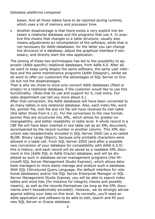#### *Database platforms compared*

bases. And all those tables have to be rejoined during runtime, which uses a lot of memory and processor time.

• Another disadvantage is that there exists a very explicit link between a relational database and the programs that use it. In practice this means that changes to a table structure, usually also means adjustments en recompilation of the software, while that is not necessary for Adlib-databases: for the latter you can change the structure of a database, adjust the graphical interface if necessary, and directly start the new application.

The joining of these two technologies has led to the possibility to approach (Adlib specific) relational databases, from Adlib 6.0. After all, we want to keep using largely the same software, the same user interface and the same maintenance programs (Adlib Designer), whilst we do want to offer our customers the advantages of SQL Server or Oracle but not the disadvantages.

That is why we chose to once-only convert Adlib databases (filled or empty) to a relational database, if the customer would like to use this functionality. (Note that its use and support for it, cost extra. Our sales department can tell you more about it.)

After that conversion, the Adlib databases will have been converted to as many tables in one relational database. Also, each index file, word list, pointer file, lock file and cnt file will have received its own table (the latter three from 6.1.0). For the conversion to the new format, pointer files are structured into XML, which allows for greater exchangeability, and better readability at table level. A whole record in a CBF file will have been inserted in one table cell as an XML document, accompanied by the record number in another column. This XML document was hexadecimally encoded in SQL Server 2000 (as a so-called BLOB: Binary Large Object), because only printable characters were allowed in a table cell. From SQL Server 2005 (and after a possible new conversion of your database for compatibility with Adlib 6.5.0) this is history, and each record will be saved as a readable XML document in the (Adlib SQL or Adlib Oracle) database, and will be displayed as such in database server management programs (like Microsoft SQL Server Management Studio Express), which allows database managers to more easily manage and analyze such a database. With SQL (Structured Query Language, the default interface for relational databases) and/or the SQL Server Enterprise Manager or SQL Server Management Studio Express, you will be able to search index tables and word lists (for instance for integrity checks and possibly repairs), as well as the records themselves (as long as the XML documents aren't hexadecimally encoded). However, we do strongly advise against editing your data on this level. So normally, you'll need an Adlib application and software to be able to edit, search and fill your new SQL Server or Oracle database.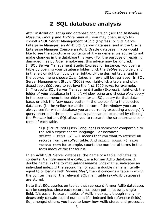<span id="page-6-0"></span>After installation, setup and database conversion (see the *Installing Museum, Library and Archive* manual), you may open, in a/o Microsoft's SQL Server Management Studio (Express) or SQL Server Enterprise Manager, an Adlib SQL Server database, and in the Oracle Enterprise Manager Console an Adlib Oracle database, if you would like to see the structure or contents of it – in general we advise to not make changes in the database this way. (For the purpose of repairing damaged files by Axiell employees, this advice may be ignored.) In SQL Server Management Studio Express for instance, you open a table by opening your database folder, click the *Tables* subfolder, and in the left or right window pane right-click the desired table, and in the pop-up menu choose *Open table*: all rows will be retrieved. In SQL Server Management Studio (2008) you right-click a table and click *Select top 1000 rows* to retrieve the first 1000 rows, for example. In Microsofts SQL Server Management Studio (Express), right-click the folder of your database in the left window pane and choose *New query* in the pop-up menu to be able to enter an SQL query for that database, or click the *New query* button in the toolbar for a the selected database. (In the yellow bar at the bottom of the window you can always see for which database you are currently executing a query.) A query entered in the middle window pane can be executed by clicking the *Execute* button. SQL allows you to research the structure and contents of each table.

> SQL (Structured Query Language) is somewhat comparable to the Adlib expert search language. For instance: SELECT \* FROM collect means that you want to retrieve all records from the *collect* table. And SELECT count(\*) FROM thesau term for example, counts the number of terms in the *term* index of the thesaurus.

In an Adlib SQL Server database, the name of a table indicates its contents. A single name like *collect*, is a former Adlib database. A double name, in the format *databasename\_indexname*, indicates an individual index. If the second half of such a double name is literally equal to or begins with "*pointerfiles*", then it concerns a table in which the pointer files for the relevant SQL main table (ex-Adlib database) are stored.

Note that SQL queries on tables that represent former Adlib databases can be complex, since each record has been put in its own, single field. It's easier to search tables of Adlib indexes, although many indexes only contain record numbers (for indexed link reference fields). So, amongst others, you have to know how Adlib stores and processes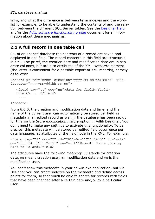links, and what the difference is between term indexes and the wordlist for example, to be able to understand the contents of and the relation between the different SQL Server tables. See the [Designer Help](http://www.adlibsoft.com/support/manuals/maintenance-guides/designer-help) and/or the *[Adlib software functionality profile](http://www.adlibsoft.com/support/manuals/user-guides/adlib-software-functionality-profile)* document for all information about these mechanisms.

# <span id="page-7-0"></span>**2.1 A full record in one table cell**

So, of an opened database the contents of a record are saved and displayed in one field. The record contents in this field are structured in XML. The priref, the creation date and modification date are in separate columns, but are also attributes of the XML *<record>* element (the latter is convenient for a possible export of XML records), namely as follows:

```
<record priref="nnnn" creation="yyyy-mm-ddThh:mm:ss" modi-
fication="yyyy-mm-ddThh:mm:ss">
    <field tag="tt" occ="nn">data for field</field>
    <field>.....</field>
     ....
</record>
```
From 6.6.0, the creation and modification date and time, and the name of the current user can automatically be stored per field as metadata in an edited record as well, if the database has been set up for this via the *Store modification history* option in Adlib Designer. You don't need to make any settings to activate this functionality. To be precise: this metadata will be stored per edited field occurrence per data language, as attributes of the field node in the XML. For example:

```
<field tag="T9" occ="2" cd="2011-04-11T11:26:51" cu="erik" 
md="2011-04-11T11:26:51" mu="erik">Bronski House journey 
back to Poland</field>
```
The attributes have the following meaning: cd stands for creation date, cu means creation user, md modification date and mu is the modification user.

You can't show this metadata in your adlwin.exe application, but via Designer you can create indexes on the metadata and define access points for them, so that you'll be able to search for records with fields that have been changed after a certain date and/or by a particular user.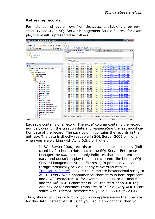#### **Retrieving records**

For instance, retrieve all rows from the *document* table, via: select \* from document. In SQL Server Management Studio Express for example, the result is presented as follows:

| Microsoft SQL Server Management Studio Express                   |                                                        |                                                                     |                            | $ 0$ $x$                                                                                  |
|------------------------------------------------------------------|--------------------------------------------------------|---------------------------------------------------------------------|----------------------------|-------------------------------------------------------------------------------------------|
| Edit View Query Tools<br>Window<br>Community<br><b>File</b>      | Help                                                   |                                                                     |                            |                                                                                           |
| 29 电 电<br>ы<br>B<br><b>Daniel</b><br>ø<br>眉<br>B.<br>U New Query | 陟<br><b>Rep</b><br>ig.                                 |                                                                     |                            |                                                                                           |
| <b>男性</b><br>ADLIBSQLDB<br>Execute $\checkmark$<br>182           | IJ                                                     | 人名罗马中亚霍西三日年年。                                                       |                            |                                                                                           |
| <b>Registered Servers</b><br>$-1 x$                              |                                                        | data2.xml <sup>)</sup> ERIK-HP.ADLIBSQL - SQLQuery1.sql* Properties |                            | ERIK-HP.ADLIBSQLDB - dbo.collect<br>$\overline{\mathbf{v}}$ $\times$                      |
| G<br>п                                                           | select * from document                                 |                                                                     |                            |                                                                                           |
| <b>Database Engine</b><br>e F                                    |                                                        |                                                                     |                            | $\hat{\phantom{a}}$                                                                       |
| <b>B</b> erik-hp                                                 |                                                        |                                                                     |                            | ٠                                                                                         |
|                                                                  | $\overline{a}$                                         |                                                                     | m.                         |                                                                                           |
|                                                                  | Results<br>$\overline{\phantom{a}}$<br><b>Messages</b> |                                                                     |                            |                                                                                           |
| <b>Object Explorer</b><br>$-1 \times$                            | stion                                                  | modfication                                                         | indexed<br>owner           | data<br>$\hat{\phantom{a}}$                                                               |
| <b>非男</b> = 下                                                    | 06-04-07 15:03:00.000<br>1                             | 2006-04-07 15:03:00.000                                             | <b>NULL</b><br><b>NULL</b> | crecord priref="1" creation="2006-04-07T15:03:00.                                         |
|                                                                  | 16-04-07 15:03:00 000<br>$\overline{2}$                | 2006-04-07 15:03:04.000                                             | NULL.<br><b>NULL</b>       | creation="2006-04-07T15:03:00.<br>krecord priref = "2"                                    |
| B B ERIK-HP (SQL Server 9.0.1399 - ADLIB\erik)<br>۸              | 06-04-07 15:03:00.000<br>3                             | 2006-04-07 15:03:00.000                                             | <b>NULL</b><br><b>NULL</b> | Deation="2006-04-07T15-03:00<br>crecord priref="3"                                        |
| E<br><b>Databases</b>                                            | 16-04-07 15:03:00 000<br>Δ                             | 2006-04-07 15:03:00 000                                             | NULL.<br>NULL.             | Click to show in XML Editor<br>krecord priref - "4"<br>Click and hold to select this cell |
| <b>ED</b> System Databases<br><b>El Database Snapshots</b>       | 06-04-07 15:03:00.000<br>5                             | 2006-04-07 15:03:00.000                                             | <b>NULL</b><br><b>NULL</b> | crecord priref ="5" creation="zooo-o+-ov-rib.op.oo                                        |
| <b>ADLIBSQLDB</b><br>n                                           | 16-04-07 15:03:00 000<br>6                             | 2006-04-07 15:03:00 000                                             | NULL.<br><b>NULL</b>       | <record priref="6" creation="2006-04-07T15:03:00.</td>                                    |
| E<br><b>El Database Diagrams</b>                                 | 7<br>06-04-07 15:03:00.000                             | 2006-04-07 15:03:00.000                                             | <b>NULL</b><br><b>NULL</b> | crecord priref="7" creation="2006-04-07T15:03:00.                                         |
| <b>Fables</b>                                                    | 06-04-07 15:03:00.000<br>8                             | 2006-04-07 15:03:00.000                                             | <b>NULL</b><br><b>NULL</b> | <record priref="8" creation="2006-04-07T15:03:00.</td>                                    |
| <b>Fig. 3</b> System Tables                                      | 9<br>06-04-07 15:03:00.000                             | 2006-04-07 15:03:00.000                                             | <b>NULL</b><br><b>NULL</b> | crecord priref="9" creation="2006-04-07T15:03:00.                                         |
| dbo.auction<br>圓<br>m                                            | 16-04-07 15:03:00 000<br>10                            | 2006-04-07 15:03:00 000                                             | NULL.<br><b>NULL</b>       | <record priref="10" creation="2006-04-07T15:03:0.</td>                                    |
| dbo.auction auction<br>н<br>œ                                    | 06-04-07 15:03:00.000<br>11                            | 2006-04-07 15:03:01.000                                             | <b>NULL</b><br><b>NULL</b> | crecord priref="11" creation="2006-04-07T15:03:0.                                         |
| dbo.auction auctno<br>厢<br>⊞                                     | 16-04-07 15:03:00 000<br>12                            | 2006-04-07 15:03:00 000                                             | NULL.<br><b>NULL</b>       | <record priref="12" creation="2006-04-07T15:03:0.</td>                                    |
| dbo.auction auctref<br>⊞                                         | 06-04-07 15:03:00.000<br>13                            | 2006-04-07 15:03:00.000                                             | <b>NULL</b><br><b>NULL</b> | crecord priref="13" creation="2006-04-07T15:03:0                                          |
| dbo.auction barcode<br>m<br>m                                    | 06-04-07 15:03:00.000<br>14                            | 2006-04-07 15:03:01 000                                             | NULL.<br>NULL.             | krecord priref="15" creation="2006-04-07T15:03:0.                                         |
| dbo.auction_catref<br>m<br>田                                     | 16-04-07 15:03:00.000<br>15                            | 2006-04-07 15:03:01.000                                             | <b>NULL</b><br><b>NULL</b> | crecord priref="16" creation="2006-04-07T15:03:0.                                         |
| dbo.auction collref<br>厢<br>⊞                                    | 16-04-07 15:03:00.000<br>16                            | 2006-04-07 15:03:00.000                                             | NULL.<br>NULL.             | <record priref="17" creation="2006-04-07T15:03:0.</td>                                    |
| dbo.auction comments<br>匣                                        | 16-04-07 15:03:00.000<br>17                            | 2006-04-07 15:03:00.000                                             | <b>NULL</b><br><b>NULL</b> | crecord priref="18" creation="2006-04-07T15:03:0.                                         |
| dbo.auction_convers<br>ш<br>m                                    | 06-04-07 15:03:00.000<br>18                            | 2006-04-07 15:03:00.000                                             | <b>NULL</b><br><b>NULL</b> | <record priref="20" creation="2006-04-07T15:03:0.</td>                                    |
| dbo.auction enddate<br>$\mathbf{H}$                              | 16-04-07 15:03:00.000<br>19                            | 2006-04-07 15:03:01 000                                             | <b>NULL</b><br><b>NULL</b> | crecord priref="21" creation="2006-04-07T15:03:0                                          |
| dbo.auction placeref<br>厢<br>⊞                                   | 06-04-07 15:03:00.000<br>20                            | 2006-04-07 15:03:01.000                                             | NULL.<br><b>NULL</b>       | <record priref="22" creation="2006-04-07T15:03:0.</td>                                    |
| dbo.auction pointerfiles2<br>⊞                                   | 16-04-07 15:03:00.000<br>21                            | 2006-04-07 15:03:01.000                                             | NULL.<br><b>NULL</b>       | crecord priref="23" creation="2006-04-07T15:03:0.                                         |
| dbo.auction_pointerfiles2_access<br>ш<br>田                       | 16-04-07 15:03:00 000<br>22                            | 2006-04-07 15:03:01.000                                             | NULL.<br><b>NULL</b>       | <record priref="26" creation="2006-04-07T15:03:0.</td>                                    |
| dbo.auction_pointerfiles2_email<br>$\mathbf{H}$                  | 06-04-07 15:03:00.000<br>23                            | 2006-04-07 15:03:01.000                                             | <b>NULL</b><br><b>NULL</b> | crecord priref="27" creation="2006-04-07T15:03.0.                                         |
| dbo.auction pointerfiles2 hitlist<br>厢<br>田                      | 16-04-07 15:03:00 000<br>24                            | 2006-04-07 15:03:00.000                                             | NULL.<br><b>NULL</b>       | <record priref="28" creation="2006-04-07T15:03:0.</td>                                    |
| dbo.auction record access<br>田                                   | $\epsilon$                                             |                                                                     | m                          |                                                                                           |
| dbo.auction_startdat<br>ш<br>œ                                   |                                                        |                                                                     |                            | ٠                                                                                         |
| dbo.auto numbering<br>13<br>m                                    | Cuery executed successfully.                           |                                                                     | ERIK-HP (9.0 RTM)          | ADI IRSQI DB<br>ADLIB\erik (53)<br>00:00:02<br>1206 mws                                   |
| Ready                                                            |                                                        |                                                                     | Ln <sub>2</sub>            | Col 6<br><b>INS</b>                                                                       |

Each row contains one record. The *priref* column contains the record number, *creation* the creation date and *modification* the last modification date of the record. The *data* column contains the records in their entirety. The data is directly readable in SQL Server 2005 or higher when you are working with Adlib 6.5.0 or higher.

> In SQL Server 2000, records are encoded hexadecimally (indicated by 0x) here. (Note that in the SQL Server Enterprise Manager the *data* column only indicates that its content is binary, and doesn't display the actual contents like here in SQL Server Management Studio Express.) In principle you can (programmatically or via a handy conversion website like [Translator, Binary\)](http://home2.paulschou.net/tools/xlate/) convert the complete hexadecimal string to ASCII. Every two alphanumerical characters in here represent one ASCII character. *3C* for example, is equal to decimal 60, and the  $60<sup>th</sup>$  ASCII character is "<", the start of an XML tag. And hex *72* for instance, translates to "r". So every XML record starts with *<record* (hexadecimally: 3c 72 65 63 6f 72 64)

Thus, should you desire to build your own application as the interface for this data, instead of just using your Adlib applications, then you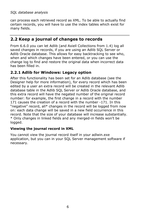can process each retrieved record as XML. To be able to actually find certain records, you will have to use the index tables which exist for many fields.

## <span id="page-9-0"></span>**2.2 Keep a journal of changes to records**

From 6.6.0 you can let Adlib (and Axiell Collections from 1.4) log all saved changes in records, if you are using an Adlib SQL Server or Adlib Oracle database. This allows for easy backtracking to see who, when and which changes have been entered, or you can use the change log to find and restore the original data when incorrect data has been filled in.

## <span id="page-9-1"></span>**2.2.1 Adlib for Windows: Legacy option**

After this functionality has been set for an Adlib database (see the Designer help for more information), for every record which has been edited by a user an extra record will be created in the relevant Adlib database table in the Adlib SQL Server or Adlib Oracle database, and this extra record will have the negated number of the original record number: for example, the first change in a record with the number 171 causes the creation of a record with the number -171. In this "negative" record, all\* changes in the record will be logged from now on: each data change will be saved in a new field occurrence in this record. Note that the size of your database will increase substantially. \* Only changes in linked fields and any merged-in fields won't be logged.

#### **Viewing the journal record in XML**

You cannot view the journal record itself in your adlwin.exe application, but you can in your SQL Server management software if necessary.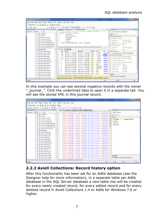| Microsoft SQL Server Management Studio                                                             |                                  |                                                |                                                                                              |              |               |                     |                                     |                                         | $\begin{array}{c c}\n\hline\n\end{array}$ |            |
|----------------------------------------------------------------------------------------------------|----------------------------------|------------------------------------------------|----------------------------------------------------------------------------------------------|--------------|---------------|---------------------|-------------------------------------|-----------------------------------------|-------------------------------------------|------------|
| Project Debug Tools Window<br>Community<br><b>File</b><br>Edit<br>Query<br>Help<br>View            |                                  |                                                |                                                                                              |              |               |                     |                                     |                                         |                                           |            |
| BBBBFFFFFF<br><sup>9</sup> New Query<br><b>In</b>                                                  |                                  |                                                |                                                                                              |              |               |                     |                                     |                                         |                                           |            |
|                                                                                                    |                                  |                                                |                                                                                              |              |               |                     |                                     |                                         |                                           |            |
| √設置日にもの類の目をはする。<br><b>图 92</b><br>$\cdot$   Execute $\blacktriangleright$     <br>master<br>$-1 x$ |                                  |                                                |                                                                                              |              |               |                     |                                     |                                         |                                           |            |
| <b>Object Explorer</b><br>$-1 x$                                                                   |                                  | data3.xml SOLOuerv2.sgl - ER (ADLIB\erik (68)) |                                                                                              |              |               | $\mathbf{v} \times$ |                                     | Properties                              |                                           |            |
| $Connect \quad \blacksquare$                                                                       |                                  | RELECT TOP 1000 [priref]                       | /****** Script for SelectTopNRows command from SSMS                                          |              |               | $+ + + + + +$       |                                     | Current connection parameters           |                                           |            |
| a dbo.costs title                                                                                  |                                  | . [creation]                                   |                                                                                              |              |               |                     |                                     | 8日 2-1回                                 |                                           |            |
| dbo.currency<br>國<br>田                                                                             |                                  | . Imodification!                               |                                                                                              |              |               |                     |                                     | <b>El Aggregate Status</b>              |                                           |            |
| dbo.currency currency<br>٠<br>田                                                                    |                                  | . findexed?                                    |                                                                                              |              |               |                     |                                     | <b>Connection failures</b>              |                                           |            |
| dbo.currency currname<br>田                                                                         |                                  | . [owner]                                      |                                                                                              |              |               |                     |                                     | Elapsed time                            | 00:00:01.0223955                          |            |
| dbo.currency_pointerfiles2<br>m<br>田                                                               |                                  | . [data]                                       |                                                                                              |              |               |                     |                                     | Finish time                             | 11-8-2011 12:04:21                        |            |
| dbo.currency pointerfiles2 acce<br>田                                                               |                                  |                                                | FROM (AdlibModel42UK). (dbo). (document)                                                     |              |               |                     |                                     | Name                                    | FRIK-HP                                   |            |
| dbo.currency pointerfiles2 ema<br>闸                                                                |                                  |                                                |                                                                                              |              |               |                     |                                     | Rows returned                           | 412                                       |            |
| dbo.currency pointerfiles2 hitlis<br>m<br>田                                                        |                                  |                                                | m                                                                                            |              |               |                     |                                     | Start time                              | 11-8-2011 12:04:20                        |            |
| dbo.currency record access<br>田                                                                    | m<br>Results                     | <b>Messages</b>                                |                                                                                              |              |               |                     |                                     | State                                   |                                           |            |
| dho document<br>÷<br>田                                                                             |                                  |                                                | modification                                                                                 |              |               |                     |                                     |                                         | Open                                      |            |
| dbo.document abstract<br>国                                                                         | print                            | creation<br>2011-08-11 11:14:05 000            |                                                                                              | indexed      | owner         | data<br>٠           |                                     | <b>El</b> Connection                    |                                           |            |
| dbo.document acqdate<br>田                                                                          | $-353$                           |                                                | 2011-08-11 11:14:05.000                                                                      | <b>NULL</b>  | journal       | created p           |                                     |                                         | Connection name ERIK-HP (ADLIB\erik)      |            |
| dbo.document auctref<br>m<br>田<br>dbo.document author                                              | $\overline{\phantom{a}}$<br>-296 | 2011-08-11 11:15:37.000                        | 2011-08-11 12:03:32 000                                                                      | <b>NULLE</b> | _joumal       | crecord i           | <b>El Connection Details</b>        |                                         |                                           |            |
| 田<br>dbo.document authorrl                                                                         | я<br>$-171$                      | 2011-02-04 12:22:15.000                        | 2011-02-04 12:31-34 000                                                                      | <b>NULL</b>  | journal       | created p           | Connection elapsed 00:00:01.0223955 |                                         |                                           |            |
| 田<br>dbo.document biblform<br>a                                                                    | $-152$<br>4                      | 2011-08-11 11:14:38 000                        | 2011-08-11 11:14:38.000                                                                      | <b>NULL</b>  | journal       | created p           |                                     | Connection finish ti 11-8-2011 12:04:21 |                                           |            |
| 田<br>dbo.document broadcom                                                                         | -2<br>5                          | 2011-04-11 11:32:58.000                        | 2011-04-11 11:32:58.000                                                                      | <b>NULLE</b> | _joumal       | created p           |                                     | Connection rows re' 412                 |                                           |            |
| 田<br>dbo.document censor                                                                           | 6<br>$\cdot$ 1                   | 2011-04-11 11:26:52.000                        | 2011-04-11 11:26:52.000                                                                      | <b>NULL</b>  | journal       | creatord p          |                                     |                                         | Connection start tin 11-8-2011 12:04:20   |            |
| 田<br>dbo.document censorrl<br>田                                                                    | Θ                                | 1970-01-01 00:00:00 000                        | 1970-01-01 00:00:00 000                                                                      | <b>NULL</b>  | <b>NULL</b>   | created p           |                                     | Connection state                        | Open                                      |            |
| dbo.document chronicl<br>田                                                                         | 8<br>п                           | 2009-10-05 10:18:44 000                        | 2011-04-11 11:26:52.000                                                                      | <b>NULLE</b> | Administrator | created p           |                                     | Display name                            | FRIK-HP                                   |            |
| dbo.document circuit<br>国                                                                          | ۹<br>$\overline{2}$              | 2009-10-05 10:18:44 000                        | 2011-04-11 11:32-58 000                                                                      | <b>NULLE</b> | Administrator | created p           |                                     | Login name                              | ADLIB\erik                                |            |
| dbo.document classcod<br>围                                                                         | 10<br>3                          | 2009-10-05 10:18:44 000                        | 2009-10-05 10:18:44.000                                                                      | <b>NULL</b>  | <b>NULL</b>   | created p           |                                     | Server name                             | FRIK-HP                                   |            |
| dbo.document collnref<br>田                                                                         | 11<br>4                          | 2009-10-05 10:18:44 000                        | 2009-10-05 10:18:44 000                                                                      | <b>NULLE</b> | NULLE.        | created p           |                                     | Server version                          | 10.0.4064                                 |            |
| dbo.document_conferen<br>a<br>田                                                                    | 12<br>5                          | 2009-10-05 10:18:44.000                        | 2009-10-05 10:18:44.000                                                                      | <b>NULL</b>  | <b>NULL</b>   | created p           |                                     | <b>Name</b>                             |                                           |            |
| Fill dbo.document continas                                                                         | $\epsilon$                       | m.                                             |                                                                                              |              |               | ٠                   |                                     | The name of the connection.             |                                           |            |
| demonstration and the<br>m<br>$\epsilon$                                                           |                                  |                                                | Query executed success   ERIK-HP (10.0 SP2)   ADLIB\erik (68)   master   00:00:01   412 rows |              |               |                     |                                     |                                         |                                           |            |
| Ready                                                                                              |                                  |                                                |                                                                                              |              |               | Ln <sub>2</sub>     |                                     | Col 6                                   |                                           | <b>INS</b> |
|                                                                                                    |                                  |                                                |                                                                                              |              |               |                     |                                     |                                         |                                           |            |

In this example you can see several negative records with the owner "\_journal\_". Click the underlined data to open it in a separate tab. You will see the stored XML in this journal record.

| Microsoft SQL Server Management Studio                                                                                                                                                                    |                                     | $  x$                         |
|-----------------------------------------------------------------------------------------------------------------------------------------------------------------------------------------------------------|-------------------------------------|-------------------------------|
| Project Debug XML Tools Window Community Help<br>File Edit View                                                                                                                                           |                                     |                               |
| New Query<br>to to lo<br><b>La</b><br>ы<br>$\mathbb{Z}$ .<br>n.                                                                                                                                           |                                     |                               |
| $2$ $\Box$<br>健<br>國民<br><b>B</b><br>$\mathbb{R}$<br>運<br>$\mathbf{r}$<br>83<br>Έ<br>A2                                                                                                                   |                                     |                               |
| <b>Object Explorer</b><br>$-1 x$                                                                                                                                                                          | <b>Properties</b>                   | $-4x$                         |
| data4.xml data3.xml SQLQuery2.sql - ER (ADLIB\erik (68))<br>$\mathbf{v} \times$<br>Fi <record creation="2011-08-11T12:15:37" modificat-<="" priref="-296" td=""><td></td><td></td></record>               |                                     |                               |
| Connect 课 製 = 了 题<br><field cd="2011-08-11T11:15:37" cu="erik" m<="" occ="1" tag="dm" td=""><td><b>XML Document</b></td><td></td></field>                                                                 | <b>XML Document</b>                 |                               |
| iii dbo.costs title<br>cd="2011-08-11T11:15:37" cu="erik" m<br><field <="" tag="dm" td=""><td>82 24 回</td><td></td></field>                                                                               | 82 24 回                             |                               |
| <b>El dbo.currency</b><br>$cur = "errik"$<br><field <br="" tag="nm">ed="2011-08-11T11:15:37"</field>                                                                                                      | <b>El Misc</b>                      |                               |
| <b>E dbo.currency currency</b><br>$cm="error$<br><field <br="" tag="nm">2011-08-11T11:15:37"</field>                                                                                                      | Encoding                            | <b>Unicode (UTF-8)</b>        |
| dbo.currency_currname<br>田田<br><field <br="" tag="tm">d="2011-08-11T11:15:37"<br/>cu="erik"<br/>-2011</field>                                                                                             | Output                              |                               |
| dbo.currency_pointerfiles2<br>田田<br><field <br="" tag="tm">committee of left.<br/>28<br/><math>cd = 2011 - 08 - 11711 + 15</math><br/>dbo.currency pointerfiles2 acce<br/>田田</field>                      | Schemas                             |                               |
| <field <br="" tag="vm">dd="2011-08-11T11:15:37<br/>commental in the<br/>m in dbo.currency pointerfiles2 ema<br/><field<br>tag="dm"<br/><math>odd=2011-08-11T11+15</math><br/>cu="erik"</field<br></field> | Stylesheet                          |                               |
| (ii) dbo.currency pointerfiles2 hitlis<br><field<br>cu="erik"<br/><math>2011 - 08 - 11711 \cdot 15</math></field<br>                                                                                      |                                     |                               |
| dbo.currency record access<br><field<br>2011-08-11T11:15<br/><b>FRI</b><br/><math>tan = 5mm</math></field<br>                                                                                             |                                     |                               |
| ed="2011-08-11T11:15:44"<br>$cm="error$<br>dbo.document<br><field<br>tag="nm"<br/>mgm<br/>10<br/>Œ.</field<br>                                                                                            |                                     |                               |
| ed="2011-08-11T11:15:44"<br>$cm="***$<br><field <br="" tag="si">3201 H<br/>dbo.document abstract<br/>m.</field>                                                                                           |                                     |                               |
| $000 = 11$<br>dd="2011-08-11T11:15:44"<br>cu="erik"<br><field <br="" tag="tm">m<br/>dbo.document_acqdate<br/><b>H</b></field>                                                                             |                                     |                               |
| cd="2011-08-11T11:15:44" cu="erik"<br><field <br="" tag="tm">dbo.document auctref<br/>FO.</field>                                                                                                         |                                     |                               |
| d="2011-08-11T11:15:44"<br><field <br="" tag="tm">(ii) dbo.document author</field>                                                                                                                        |                                     |                               |
| 2011-08-11T11:15:44"<br>cfield.<br>tag="vm"<br>dbo.document authorrl<br>Œ.                                                                                                                                |                                     |                               |
| cfield<br>2011-08-11T11:16:07"<br>$cu = "e r 1 k"$<br>tag="dm"<br>dbo.document biblform<br>13<br>Œ.<br>cd="2011-08-11T11:16:07"<br>$cm="error$<br><field<br>zн<br/>tag="dm"</field<br>                    |                                     |                               |
| dbo.document_broadcom<br>138<br>$cm = "a + i * "$<br><field <br="" tag="nm">ed="2011-08-11T11:16:07<br/>m</field>                                                                                         |                                     |                               |
| dbo.document_censor<br><b>COL</b><br>Œ.<br><field <br="" tag="nm">cu="erik"<br/>ed="2011-08-11T11:16:07"</field>                                                                                          |                                     |                               |
| dbo.document censorrl<br>田田<br><field <br="" tag="si">2011-08-11T11:16:07"<br/>cu-"erik"</field>                                                                                                          |                                     |                               |
| dbo.document chronicl<br><b>H</b><br>$2011 - 08 - 11T11 + 16 + 07$<br>cu-"erik"<br><field<br>tag="tm"</field<br>                                                                                          |                                     |                               |
| dbo.document circuit<br>$\blacksquare$<br>m > n<br>cd="2011-08-11T11:16:07"<br>cu="erik"<br><field<br>tag="tm"<br/>m</field<br>                                                                           |                                     |                               |
| dbo.document classcod<br>Œ.<br>cd="2011-08-11T11:16:07"<br><field<br>tag="tm"<br/>0.00002737<br/><math>cur = "errik"</math></field<br>                                                                    |                                     |                               |
| dbo.document collnref<br>13<br>Œ.<br>cd="2011-08-11T11:16:07"<br><field <br="" tag="tm"><math>cm = m + 12</math><br/>dbo.document conferen</field>                                                        |                                     |                               |
| <field <br="" tag="vm">="2011-08-11T11:16:07" cu="erik" m<br/>dbo.document continas<br/><field <="" tag="dm" td=""><td><b>Encoding</b></td><td></td></field></field>                                      | <b>Encoding</b>                     |                               |
| the demonstration of                                                                                                                                                                                      | Character encoding of the document. |                               |
| $\overline{a}$<br>m.                                                                                                                                                                                      |                                     |                               |
| Ready<br>Ln <sub>1</sub>                                                                                                                                                                                  | Col1                                | Ch <sub>1</sub><br><b>INS</b> |

## <span id="page-10-0"></span>**2.2.2 Axiell Collections: Record history option**

After this functionality has been set for an Adlib database (see the Designer help for more information), in a separate table per Adlib database in the SQL Server database a new table row will be created for every newly created record, for every edited record and for every deleted record in Axiell Collections 1.4 or Adlib for Windows 7.6 or higher.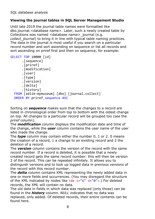### **Viewing the journal tables in SQL Server Management Studio**

Until late 2019 the journal table names were formatted like dbo.journal.<database name>. Later, such a newly created table by Collections was named <database name> journal (e.g. *collect journal*) to bring it in line with typical table naming practices. The data in the journal is most useful if you search on a particular record number and sort ascending on sequence or list all records and sort ascending on priref first and then on sequence, for example:

```
SELECT TOP 10000 [id]
       ,[sequence]
       ,[priref]
       ,[modification]
       ,[user]
       ,[type]
       ,[version]
       ,[delta]
       ,[history]
   FROM [adlib-mymuseum].[dbo].[journal.collect]
  ORDER BY priref, sequence ASC
```
Sorting on *sequence* makes sure that the changes to a record are listed in chronological order from top to bottom with the oldest change on top. All changes to a particular record will be grouped too (see the *priref* column).

The *modification* column displays the modification date and time of the change, while the *user* column contains the user name of the user who made the change.

The *type* column may contain either the number 0, 1 or 2. 0 means the creation of a record, 1 a change to an existing record and 2 the deletion of a record.

The *version* column contains the version of the record with the same record number. If a record is deleted, it is possible that a newly created record gets the same record number: this will then be version 2 of the record. This can be repeated infinitely. It allows you to distinguish versions and to look up logged data in previous versions of the record with this record number.

The *delta* column contains XML representing the newly added data in one or more fields and occurrences. (You may disregard the structure of the XML indicated by nodes like <de  $s="6" d="0" >.)$  For deleted records, the XML will contain no data.

The old data in fields in which data was replaced (only those) can be found in the *history* column. *NULL* indicates that no data was replaced, only added. Of deleted records, their entire contents can be found here.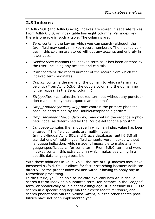# <span id="page-12-0"></span>**2.3 Indexes**

In Adlib SQL (and Adlib Oracle), indexes are stored in separate tables. From Adlib 6.5.0, an index table has eight columns. Per index key there is one row in such a table. The columns are:

- *Term* contains the key on which you can search (although the *term* field may contain linked-record numbers). The indexed values in this column are stored without any accents and entirely in lower case.
- *Display term* contains the indexed term as it has been entered by the user, including any accents and capitals.
- *Priref* contains the record number of the record from which the indexed term originates.
- *Domain* contains the name of the domain to which a term may belong. (From Adlib 6.5.0, the double colon and the domain no longer appear in the *Term* column.)
- *Strippedterm* contains the indexed term but without any punctuation marks like hyphens, quotes and comma's.
- *Dmp\_primary (primary key)* may contain the primary phonetic code, as determined by the DoubleMetaphone algorithm.
- *Dmp\_secondary (secondary key)* may contain the secondary phonetic code, as determined by the DoubleMetaphone algorithm.
- *Language* contains the language in which an index value has been entered, if the field contents are multi-lingual. In multi-lingual Adlib SQL and Oracle databases, until 6.5.0 all translations of multi-lingual field contents were indexed without language indication, which made it impossible to make a language-specific search for some term. From 6.5.0, term and word indexes contain this extra column which makes searching in a specific data language possible.

With these additions in Adlib 6.5.0, the size of SOL indexes may have increased sixfold. Still, it allows for faster searching because Adlib can directly use the proper index column without having to apply any intermediate processing.

In the future, you'll be able to indicate explicitly how Adlib should search a term index on a submitted term, for instance in the *Stripped* form, or phonetically or in a specific language. It is possible in 6.5.0 to search in a specific language via the *Expert search language*, and search phonetically via the *Search wizard*, but the other search possibilities have not been implemented yet.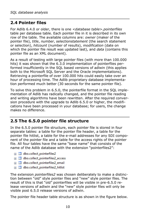# <span id="page-13-0"></span>**2.4 Pointer files**

For Adlib 6.4.0 or older, there is one *<database table>.pointerfiles* table per database table. Each pointer file in it is described in its own row of the table. The available columns are: *owner* (maker of the pointer file), *title*, *number*, *selectionstatement* (the search statement or selection), *hitcount* (number of results), *modification* (date on which the pointer file result was updated last), and *data* (contains this pointer file as an XML document).

As a result of testing with large pointer files (with more than 100.000 hits) it was shown that the 6.3.0 implementation of pointerfiles performed insufficiently in the SQL based versions of adlwin (this applies both to the Microsoft SQL Server and the Oracle implementations). Retrieving a pointerfile of over 100.000 hits could easily take over an hour of processing time. The Adlib proprietary database implementation performed much better (30 seconds for the same pointer file).

To solve this problem in 6.5.0, the pointerfile format in the SQL implementation of Adlib has radically changed, and the pointer file reading and writing algorithms have been rewritten. After the required conversion procedure with the upgrade to Adlib 6.5.0 or higher, the modifications have been processed in your database; for users, the change makes no difference.

## <span id="page-13-1"></span>**2.5 The 6.5.0 pointer file structure**

In the 6.5.0 pointer file structure, each pointer file is stored in four separate tables: a table for the pointer file header, a table for the pointer file hitlist, a table for the e-mail addresses for any SDI component of the pointer file and a table for the access rights of the pointer file. All four tables have the same "base name" that consists of the name of the Adlib database with the extension "pointerfiles2":

- 田 国 dbo.collect\_pointerfiles2
- 国 dbo.collect pointerfiles2 access
- 国 dbo.collect pointerfiles2 email
- 国 dbo.collect pointerfiles2 hitlist

The extension *pointerfiles2* was chosen deliberately to make a distinction between "old" style pointer files and "new" style pointer files. The result of this is that "old" pointerfiles will be visible in pre-6.5.0 release versions of adlwin and the "new" style pointer files will only be visible post 6.5.0 release versions of adlwin.

The pointer file header table structure is as shown in the figure below.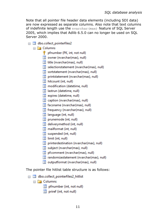Note that all pointer file header data elements (including SDI data) are now expressed as separate columns. Also note that text columns of indefinite length use the nvarchar(max) feature of SQL Server 2005, which implies that Adlib 6.5.0 can no longer be used on SQL Server 2000.

- $\Box$  dbo.collect pointerfiles2
	- $\Box$  Columns
		- pfnumber (PK, int, not null)
		- $\boxed{\equiv}$  owner (nvarchar(max), null)
		- title (nvarchar(max), null)
		- selectionstatement (nvarchar(max), null)
		- sortstatement (nvarchar(max), null)
		- $\boxed{\equiv}$  printstatement (nvarchar(max), null)
		- $\boxed{=}$  hitcount (int. null)
		- modification (datetime, null)
		- astrun (datetime, null)
		- $\boxed{\equiv}$  expires (datetime, null)
		- $\boxed{\equiv}$  caption (nvarchar(max), null)
		- facsname (nvarchar(max), null)
		- $\equiv$  frequency (nvarchar(max), null)
		- Illanguage (int. null)
		- $\boxed{\equiv}$  prunemode (int. null)
		- deliverymethod (int. null)
		- mailformat (int, null)
		- $\equiv$  suspended (int, null)
		- $\boxed{=}$  limit (int. null)
		- $\boxed{\equiv}$  printerdestination (nvarchar(max), null)
		- subject (nvarchar(max), null)
		- pfcomment (nvarchar(max), null)
		- $\boxed{\equiv}$  randomizestatement (nvarchar(max), null)
		- outputformat (nvarchar(max), null)

The pointer file hitlist table structure is as follows:

- $\Box$  dbo.collect pointerfiles2 hitlist
	- $\Box$  Columns
		- pfnumber (int, not null)
		- $\boxed{\equiv}$  priref (int, not null)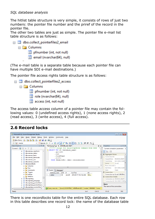The hitlist table structure is very simple, it consists of rows of just two numbers: the pointer file number and the priref of the record in the pointer file.

The other two tables are just as simple. The pointer file e-mail list table structure is as follows:

| □ <i>■</i> dbo.collect_pointerfiles2_email |  |  |  |  |  |  |
|--------------------------------------------|--|--|--|--|--|--|
| $\Box$ Columns                             |  |  |  |  |  |  |
| $\Box$ pfnumber (int, not null)            |  |  |  |  |  |  |
| $\equiv$ email (nvarchar(64), null)        |  |  |  |  |  |  |

(The e-mail table is a separate table because each pointer file can have multiple SDI e-mail destinations.)

The pointer file access rights table structure is as follows:

 $\Box$  dbo.collect pointerfiles2 access

 $\Box$  Columns

- $\boxed{3}$  pfnumber (int. not null)
- $\equiv$  role (nvarchar(64), null)
- $\boxed{=}$  access (int. not null)

The access table *access* column of a pointer file may contain the following values: 0 (undefined access rights), 1 (none access rights), 2 (read access), 3 (write access), 4 (full access).

# <span id="page-15-0"></span>**2.6 Record locks**

| Microsoft SOL Server Management Studio                                                                                                               | $\mathbf{K}$<br>$ -$                 |
|------------------------------------------------------------------------------------------------------------------------------------------------------|--------------------------------------|
| Edit<br><b>View</b><br>Query Project Debug<br>Tools<br>Window<br>Community<br><b>File</b><br>Help                                                    |                                      |
| b to to la<br>BHSE.<br>New Query<br>- Dr                                                                                                             |                                      |
| √設固固器商の面の目台建建る。<br><b>Page master</b><br>$\cdot$   <b>?</b> Execute $\blacktriangleright$                                                            |                                      |
| <b>Object Explorer</b><br>$-1 \times$<br>SQLQuery5.sql - (I (ADLIB\erik (61))*<br>$\equiv x$                                                         | $-1 \times$<br><b>Properties</b>     |
| /****** Script for SelectTopNRows command from SSMS<br>Connect $\blacksquare$ $\blacksquare$ $\blacksquare$ $\blacksquare$ $\blacksquare$            | <b>Current connection parameters</b> |
| SELECT TOP 20 [database name]<br>dbo.rameau seenfrom                                                                                                 |                                      |
| . [priref]<br>dbo.rameau status                                                                                                                      | 312.1                                |
| . [id]<br>dbo.rameau term                                                                                                                            | <b>El Aggregate Status</b>           |
| , [lockTime]<br>dbo.rameau termcode<br>. [info]                                                                                                      | Connection fai                       |
| dbo.rameau use<br>FROM [Model42NL].[dbo].[recordlocks]                                                                                               | Elapsed time 00:00:00.109197.        |
| dbo.rameau used for                                                                                                                                  | Finish time<br>11-6-2012 15:38       |
| dbo.recordlocks                                                                                                                                      | Name<br>(local)                      |
| Columns<br>G                                                                                                                                         | Rows returned 1                      |
| m.<br>Keys<br>n.<br><b>E</b>                                                                                                                         | Start time<br>11-6-2012 15:38        |
| 扁<br><b>Fa</b> Messages<br>Constraints<br>Results<br>$\overline{a}$                                                                                  | Open<br>State                        |
| <b>Triggers</b><br>lockTime<br>info<br>id<br>database name<br>priref                                                                                 | <b>El</b> Connection                 |
| Indexes<br>÷<br>画<br>2012-06-11 15:37:52.000<br>89<br>erik 2f4<br><b>NULL</b><br>collect<br>1                                                        | Connection na (local) (ADLIB\e       |
| <b>Statistics</b><br>$\overline{a}$                                                                                                                  | <b>El Connection Details</b>         |
| dbo.reprlang                                                                                                                                         | Connection el: 00:00:00.109197       |
| dbo.reprlang_language                                                                                                                                | Connection fir 11-6-2012 15:38 =     |
| dbo.reprlang_pointerfiles2                                                                                                                           | <b>Name</b>                          |
| dbo.reprlang pointerfiles2 a                                                                                                                         | The name of the connection.          |
| dbo.reprlang_pointerfiles2 +<br>国国<br>Q Query execute (local) (10.50 RTM) ADLIB\erik (61)   master   00:00:00   1 rows<br>$\mathbf{m}$<br>$\epsilon$ |                                      |
| Col12<br>Ready<br>ln 4                                                                                                                               | Ch12<br><b>INS</b>                   |

There is one *recordlocks* table for the entire SQL database. Each row in this table describes one record lock: the name of the database table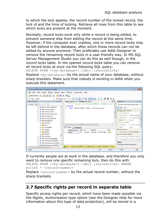to which the lock applies, the record number of the locked record, the lock id and the time of locking. Retrieve all rows from this table to see which locks are present at the moment.

Normally, record locks exist only while a record is being edited, to prevent someone else from editing the record at the same time. However, if the computer ever crashes, one or more record locks may be left behind in the database, after which those records can not be edited by anyone anymore. Then preferably use Adlib Designer to remove the remaining record locks in a user friendly way. In MS SQL Server Management Studio you can do this as well though, in the *record locks* table. In the opened *record locks* table you can remove all record locks at once via the following SQL query: DELETE FROM [<my-database>].[dbo].[recordlocks]

Replace <my-database> by the actual name of your database, without sharp brackets. Make sure that nobody is working in Adlib when you execute this statement.



If currently people are at work in the database, and therefore you only want to remove one specific remaining lock, then do this with: DELETE FROM [<my-database>].[dbo].[recordlocks] WHERE priref = <record-number>

Replace  $<$  record-number> by the actual record number, without the sharp brackets.

# <span id="page-16-0"></span>**2.7 Specific rights per record in separate table**

Specific access rights per record, which have been made possible via the *Rights*, *Authorisation type* option (see the Designer Help for more information about this type of data protection), will be stored in a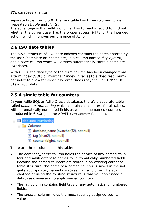separate table from 6.5.0. The new table has three columns: *priref* (repeatable), *role* and *rights*.

The advantage is that Adlib no longer has to read a record to find out whether the current user has the proper access rights for the intended action, which improves performance of Adlib.

# <span id="page-17-0"></span>**2.8 ISO date tables**

The 6.5.0 structure of ISO date indexes contains the dates entered by the user (complete or incomplete) in a column named *displayterm*, and a *term* column which will always automatically contain complete ISO dates.

With 6.5.0, the data type of the term column has been changed from a term index (SQL) or nvarchar2 index (Oracle) to a float resp. number index to allow for especially large dates (beyond - or + 9999-01- 01) in your data.

# <span id="page-17-1"></span>**2.9 A single table for counters**

In your Adlib SQL or Adlib Oracle database, there's a separate table called *dbo.auto\_numbering* which contains all counters for all tables, with automatically numbered fields as well as the named counters introduced in 6.6.0 (see the ADAPL GetCounter function).

| $=$ |                | <b>■ dbo.auto_numbering</b>            |
|-----|----------------|----------------------------------------|
|     | $\Box$ Columns |                                        |
|     |                | database_name (nvarchar(32), not null) |
|     |                | $\equiv$ tag (char(2), not null)       |
|     |                | counter (bigint, not null)             |
|     |                |                                        |

There are three columns in this table:

- The *database\_name* column holds the names of any named counters and Adlib database names for automatically numbered fields. Because the named counters are stored in an existing database table structure, the name of a named counter is saved in the not quite appropriately named *database\_name* column. The advantage of using the existing structure is that you don't need a database conversion to apply named counters.
- The *tag* column contains field tags of any automatically numbered fields.
- The *counter* column holds the most recently assigned counter values.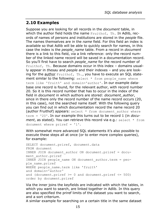## <span id="page-18-0"></span>**2.10 Examples**

Suppose you are looking for all records in the *document* table, in which the author field holds the name Fruithof, Th. In Adlib, records of names of persons and institutions are stored in the *people* file. The names themselves are in the *name* field. For this field an index is available so that Adlib will be able to quickly search for names, in this case the index is the *people\_name* table. From a record in *document* there is a link to this field, via a link reference: only the record number of the linked name record will be saved in a documentation record. So you'll first have to search *people\_name* for the record number of Fruithof, Th. Because domains occur in this index – domains usually appear in *thesau* and *people* and their indexes – and you are looking for the author Fruithof, Th., you have to execute an SQL statement similar to the following: select  $*$  from people name where term like 'fruit%' and domain='author'. In our example database one record is found, for the relevant author, with record number 20. So it is this record number that has to occur in the index of the field in *document* in which authors are stored: *document\_author*, since in there only the record number of the name record occurs (20, in this case), not the searched name itself. With the following query you can find out in which documentation record the name record 20 (author Fruithof) appears: select \* from document author where term = '20'. In our example this turns out to be record 1 (in *document*, as stated). You can retrieve this record via e.g.: select \* from document where priref = '1'.

With somewhat more advanced SQL statements it's also possible to execute these steps all at once (or to enter more complex queries), for example:

```
SELECT document.priref, document.data
FROM document
INNER JOIN document_author ON document.priref = docu-
ment_author.priref
INNER JOIN people name ON document_author.term = peo-
ple_name.priref
WHERE people name.term like 'fruit%'
and domain='author'
and (document.priref >= 0 and document.priref <= 500)
order by document.priref
```
Via the inner joins the keyfields are indicated with which the tables, in which you want to search, are linked together in Adlib. In this query are also specified the priref limits of the dataset you want to search, and a sort criterium.

A similar example for searching on a certain title in the same dataset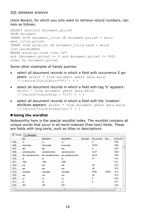(here *Books*), for which you only want to retrieve record numbers, can look as follows:

```
SELECT distinct document.priref
FROM document
INNER JOIN document_title ON document.priref = docu-
ment_title.priref
INNER JOIN wordlist ON document_title.term = word-
list.wordnumber
WHERE wordlist.term like 'w%'
and (document.priref >= 0 and document.priref <= 500)
order by document.priref
```
Some other examples of handy queries:

- select all document records in which a field with occurrence 5 appears: select \* from document where data.exist  $('/record/field[@occ="5"]') = 1$
- select all document records in which a field with tag 'ti' appears: select \* from document where data.exist  $('/record/field[@taq = "ti"]') = 1$
- select all document records in which a field with the 'creation' attribute appears: select \* from document where data.exist ('/record/field[@creation]') = 1

#### ■ Using the wordlist

Noteworthy here is the special *wordlist* index. The *wordlist* contains all unique words that occur in all word-indexed (free text) fields. These are fields with long texts, such as titles or descriptions.

|              | tem                | displaytem         | strippedterm       | language | dmp_primary | $dmp$ <sub>-</sub> | wordnumb A |
|--------------|--------------------|--------------------|--------------------|----------|-------------|--------------------|------------|
| 7405         | CO.                | Co.                | CO                 |          | κ           |                    | 7405       |
| 7406         | horizontale        | Horizontale        | horizontale        |          | <b>HRSN</b> |                    | 7406       |
| 7407         | één                | één                | een                |          | N           |                    | 7407       |
| 7408         | cylindemachine     | cylindemachine     | cylindemachine     |          | <b>SLNT</b> |                    | 7408       |
| 7409         | één-cvlindemachine | één-cvlindemachine | een cylindemachine |          | <b>NSLN</b> |                    | 7409       |
| 7410         | uit                | uit                | uit                |          | AT          |                    | 7410       |
| 7411         | 1906               | 1906               | 1906               |          |             |                    | 7411       |
| 7412         | met                | met                | met                |          | <b>MT</b>   |                    | 7412       |
| 7413         | een                | een                | een                |          | AN          |                    | 7413       |
| 7414         | vermogen           | vermogen           | vermogen           |          | <b>FRMJ</b> | <b>FRMK</b>        | 7414       |
| 7415         | van                | van                | van                |          | FN          |                    | 7415       |
| 7416         | ca                 | ca                 | ca                 |          | κ           |                    | 7416       |
| 7417         | ca.                | ca.                | ca                 |          | κ           |                    | 7417       |
| 7418         | 250                | 250                | 250                |          |             |                    | 7418       |
| $-0.00$<br>∢ | ٠                  | ×.                 | ×<br>Ш             |          | mar.        |                    | $-1112$    |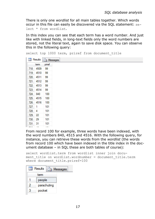There is only one *wordlist* for all main tables together. Which words occur in this file can easily be discovered via the SQL statement: select \* from wordlist.

In this index you can see that each term has a word number. And just like with linked fields, in long-text fields only the word numbers are stored, not the literal text, again to save disk space. You can observe this in the following query:

```
select top 1000 term, priref from document title
```

|     | <b>Results</b> | <b>Ressages</b> |
|-----|----------------|-----------------|
|     | tem            | priref          |
| 718 | 4509           | 99              |
| 719 | 4510           | 99              |
| 720 | 4511           | 99              |
| 721 | 4512           | 99              |
| 722 | 4513           | 99              |
| 723 | 4514           | 99              |
| 724 | 840            | 100             |
| 725 | 4515           | 100             |
| 726 | 4516           | 100             |
| 727 | 1              | 101             |
| 728 | 4              | 101             |
| 729 | 22             | 101             |
| 730 | 29             | 101             |
| 731 | 31             | 101             |
|     |                |                 |

From record 100 for example, three words have been indexed, with the word numbers 840, 4515 and 4516. With the following query, for instance, you can retrieve these words from the *wordlist* (the words from record 100 which have been indexed in the title index in the document database – in SQL these are both tables of course):

```
select wordlist.term from wordlist inner join docu-
ment title on wordlist.wordnumber = document title.term
where document title.priref=100
```

| Results<br>用<br>Messages<br>ŢD. |  |
|---------------------------------|--|
| term                            |  |
| people                          |  |
| parachuting                     |  |
| pocket                          |  |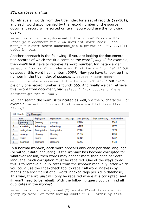To retrieve all words from the title index for a set of records (99-101), and each word accompanied by the record number of the source document record while sorted on term, you would use the following query:

select wordlist.term, document title.priref from wordlist inner join document title on wordlist.wordnumber = document title.term where document title.priref in  $(99,100,101)$ order by term

Another approach is the following: if you are looking for documentation records of which the title contains the word " $j$ ungle" for example, then you'll first have to retrieve its word number, for instance via: select \* from wordlist where wordlist.term = 'jungle'. In our database, this word has number *49054*. Now you have to look up this number in the title index of *document*: select \* from document title where document title.term = '49054'. In our example only one record number is found: *655*. And finally we can retrieve this record from *document*, via: select \* from document where document.priref = '655'.

You can search the *wordlist* truncated as well, via the % character. For example: select \* from wordlist where wordlist.term like '%sing%'

| Ħ | Results<br>Messages |             |              |          |             |               |            |  |  |  |
|---|---------------------|-------------|--------------|----------|-------------|---------------|------------|--|--|--|
|   | tem<br>             | displaytem  | strippedterm | language | dmp primary | dmp secondary | wordnumber |  |  |  |
|   | passing             | passing     | passing      |          | <b>PSNK</b> |               | 3362       |  |  |  |
| 2 | advertising         | Advertising | advertising  |          | <b>ATFR</b> |               | 4072       |  |  |  |
| 3 | basingstoke         | Basingstoke | basingstoke  |          | <b>PSNK</b> |               | 6076       |  |  |  |
| 4 | blessing            | blessing    | blessing     |          | <b>PLSN</b> |               | 4036       |  |  |  |
| 5 | casing              | casing      | casing       |          | <b>KSNK</b> |               | 1232       |  |  |  |
| 6 | cleansing           | cleansing   | cleansing    |          | <b>KLNS</b> |               | 4134       |  |  |  |

In a normal *wordlist*, each word appears only once per data language (or without data language). If the *wordlist* has become corrupted for whatever reason, then words may appear more than once per data language. Such corruption must be repaired. One of the ways to do this is to remove all duplicates from the *wordlist* manually, after which you could use the Indexcheck tool to repair all word indexes (by means of a specific list of all word-indexed tags per Adlib database). This way, the *wordlist* will only be repaired where it is corrupted, and ik won't need to be rebuilt. With the following query you can find all duplicates in the *wordlist*:

select wordlist.term, count(\*) as WordCount from wordlist group by wordlist.term having COUNT(\*) > 1 order by term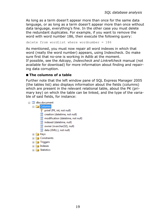As long as a term doesn't appear more than once for the same data language, or as long as a term doesn't appear more than once without data language, everything's fine. In the other case you must delete the redundant duplicates. For example, if you want to remove the word with word number 186, then execute the following query:

delete from wordlist where wordnumber = 186

As mentioned, you must now repair all word indexes in which that word (really the word number) appears, using Indexcheck. Do make sure first that no-one is working in Adlib at the moment. If possible, see the *Adcopy, Indexcheck and Linkrefcheck* manual (not available for download) for more information about finding and repairing data corruption.

#### ◼ **The columns of a table**

Further note that the left window pane of SQL Express Manager 2005 (the tables list) also displays information about the fields (columns) which are present in the relevant relational table, about the PK (primary key) on which the table can be linked, and the type of the variable of said fields, for instance:

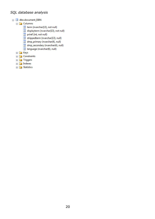- □ dbo.document\_ISBN
	- **E** Columns
		- term (nvarchar(13), not null)
		- displayterm (nvarchar(13), not null)
		- priref (int, not null)
		- strippedterm (nvarchar(13), null)
		- dmp\_primary (nvarchar(4), null)
		- dmp\_secondary (nvarchar(4), null)
		- I language (nvarchar(6), null)
	- **E** Keys
	- **E** Constraints
	- **E** Triggers
	- **E** Indexes
	- **E** Statistics